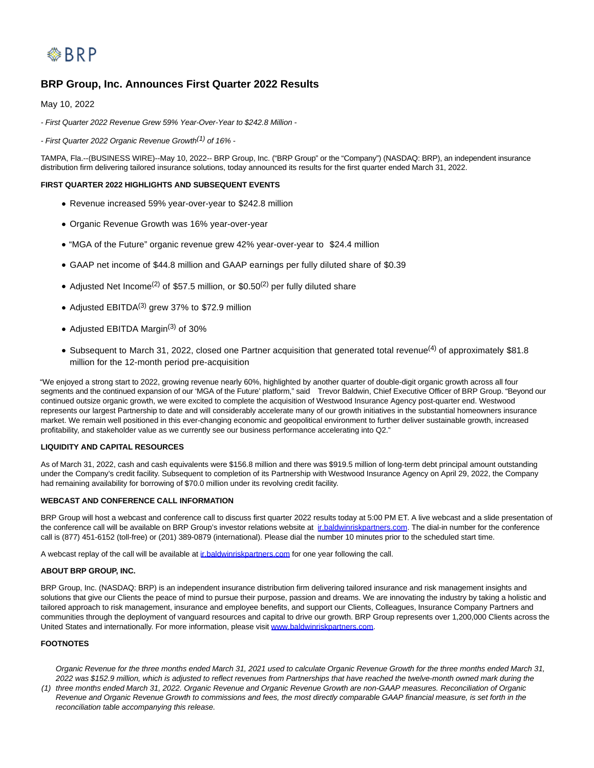

## **BRP Group, Inc. Announces First Quarter 2022 Results**

May 10, 2022

- First Quarter 2022 Revenue Grew 59% Year-Over-Year to \$242.8 Million -

- First Quarter 2022 Organic Revenue Growth(1) of 16% -

TAMPA, Fla.--(BUSINESS WIRE)--May 10, 2022-- BRP Group, Inc. ("BRP Group" or the "Company") (NASDAQ: BRP), an independent insurance distribution firm delivering tailored insurance solutions, today announced its results for the first quarter ended March 31, 2022.

### **FIRST QUARTER 2022 HIGHLIGHTS AND SUBSEQUENT EVENTS**

- Revenue increased 59% year-over-year to \$242.8 million
- Organic Revenue Growth was 16% year-over-year
- "MGA of the Future" organic revenue grew 42% year-over-year to \$24.4 million
- GAAP net income of \$44.8 million and GAAP earnings per fully diluted share of \$0.39
- Adjusted Net Income<sup>(2)</sup> of \$57.5 million, or \$0.50<sup>(2)</sup> per fully diluted share
- Adjusted EBITDA<sup>(3)</sup> grew 37% to \$72.9 million
- Adjusted EBITDA Margin<sup>(3)</sup> of 30%
- Subsequent to March 31, 2022, closed one Partner acquisition that generated total revenue<sup>(4)</sup> of approximately \$81.8 million for the 12-month period pre-acquisition

"We enjoyed a strong start to 2022, growing revenue nearly 60%, highlighted by another quarter of double-digit organic growth across all four segments and the continued expansion of our 'MGA of the Future' platform," said Trevor Baldwin, Chief Executive Officer of BRP Group. "Beyond our continued outsize organic growth, we were excited to complete the acquisition of Westwood Insurance Agency post-quarter end. Westwood represents our largest Partnership to date and will considerably accelerate many of our growth initiatives in the substantial homeowners insurance market. We remain well positioned in this ever-changing economic and geopolitical environment to further deliver sustainable growth, increased profitability, and stakeholder value as we currently see our business performance accelerating into Q2."

### **LIQUIDITY AND CAPITAL RESOURCES**

As of March 31, 2022, cash and cash equivalents were \$156.8 million and there was \$919.5 million of long-term debt principal amount outstanding under the Company's credit facility. Subsequent to completion of its Partnership with Westwood Insurance Agency on April 29, 2022, the Company had remaining availability for borrowing of \$70.0 million under its revolving credit facility.

### **WEBCAST AND CONFERENCE CALL INFORMATION**

BRP Group will host a webcast and conference call to discuss first quarter 2022 results today at 5:00 PM ET. A live webcast and a slide presentation of the conference call will be available on BRP Group's investor relations website at [ir.baldwinriskpartners.com.](https://cts.businesswire.com/ct/CT?id=smartlink&url=https%3A%2F%2Fir.baldwinriskpartners.com%2F&esheet=52714691&newsitemid=20220510006241&lan=en-US&anchor=ir.baldwinriskpartners.com&index=1&md5=36a50956a08ad9b896d7b1aa9caa1d91) The dial-in number for the conference call is (877) 451-6152 (toll-free) or (201) 389-0879 (international). Please dial the number 10 minutes prior to the scheduled start time.

A webcast replay of the call will be available at [ir.baldwinriskpartners.com f](https://cts.businesswire.com/ct/CT?id=smartlink&url=https%3A%2F%2Fir.baldwinriskpartners.com%2F&esheet=52714691&newsitemid=20220510006241&lan=en-US&anchor=ir.baldwinriskpartners.com&index=2&md5=524edc3b16acb4fca0f1bda7723e4f73)or one year following the call.

### **ABOUT BRP GROUP, INC.**

BRP Group, Inc. (NASDAQ: BRP) is an independent insurance distribution firm delivering tailored insurance and risk management insights and solutions that give our Clients the peace of mind to pursue their purpose, passion and dreams. We are innovating the industry by taking a holistic and tailored approach to risk management, insurance and employee benefits, and support our Clients, Colleagues, Insurance Company Partners and communities through the deployment of vanguard resources and capital to drive our growth. BRP Group represents over 1,200,000 Clients across the United States and internationally. For more information, please visit [www.baldwinriskpartners.com.](https://cts.businesswire.com/ct/CT?id=smartlink&url=http%3A%2F%2Fwww.baldwinriskpartners.com&esheet=52714691&newsitemid=20220510006241&lan=en-US&anchor=www.baldwinriskpartners.com&index=3&md5=afac6f1abbee6522b67614cd9998d7f9)

## **FOOTNOTES**

Organic Revenue for the three months ended March 31, 2021 used to calculate Organic Revenue Growth for the three months ended March 31, 2022 was \$152.9 million, which is adjusted to reflect revenues from Partnerships that have reached the twelve-month owned mark during the

(1) three months ended March 31, 2022. Organic Revenue and Organic Revenue Growth are non-GAAP measures. Reconciliation of Organic Revenue and Organic Revenue Growth to commissions and fees, the most directly comparable GAAP financial measure, is set forth in the reconciliation table accompanying this release.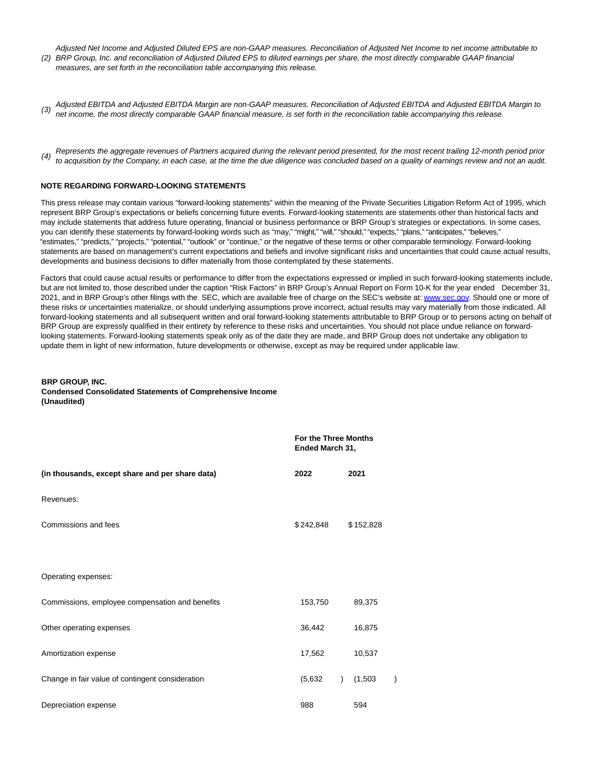(2) BRP Group, Inc. and reconciliation of Adjusted Diluted EPS to diluted earnings per share, the most directly comparable GAAP financial Adjusted Net Income and Adjusted Diluted EPS are non-GAAP measures. Reconciliation of Adjusted Net Income to net income attributable to measures, are set forth in the reconciliation table accompanying this release.

- (3) Adjusted EBITDA and Adjusted EBITDA Margin are non-GAAP measures. Reconciliation of Adjusted EBITDA and Adjusted EBITDA Margin to net income, the most directly comparable GAAP financial measure, is set forth in the reconciliation table accompanying this release.
- Represents the aggregate revenues of Partners acquired during the relevant period presented, for the most recent trailing 12-month period prior<br>
(4) the acquisition by the Commons in each associate the time the discussion to acquisition by the Company, in each case, at the time the due diligence was concluded based on a quality of earnings review and not an audit.

#### **NOTE REGARDING FORWARD-LOOKING STATEMENTS**

This press release may contain various "forward-looking statements" within the meaning of the Private Securities Litigation Reform Act of 1995, which represent BRP Group's expectations or beliefs concerning future events. Forward-looking statements are statements other than historical facts and may include statements that address future operating, financial or business performance or BRP Group's strategies or expectations. In some cases, you can identify these statements by forward-looking words such as "may," "might," "will," "should," "expects," "plans," "anticipates," "believes," "estimates," "predicts," "projects," "potential," "outlook" or "continue," or the negative of these terms or other comparable terminology. Forward-looking statements are based on management's current expectations and beliefs and involve significant risks and uncertainties that could cause actual results, developments and business decisions to differ materially from those contemplated by these statements.

Factors that could cause actual results or performance to differ from the expectations expressed or implied in such forward-looking statements include, but are not limited to, those described under the caption "Risk Factors" in BRP Group's Annual Report on Form 10-K for the year ended December 31, 2021, and in BRP Group's other filings with the SEC, which are available free of charge on the SEC's website at[: www.sec.gov.](https://cts.businesswire.com/ct/CT?id=smartlink&url=http%3A%2F%2Fwww.sec.gov&esheet=52714691&newsitemid=20220510006241&lan=en-US&anchor=www.sec.gov&index=4&md5=5fc80a1cf642353986dff42d36cff87a) Should one or more of these risks or uncertainties materialize, or should underlying assumptions prove incorrect, actual results may vary materially from those indicated. All forward-looking statements and all subsequent written and oral forward-looking statements attributable to BRP Group or to persons acting on behalf of BRP Group are expressly qualified in their entirety by reference to these risks and uncertainties. You should not place undue reliance on forwardlooking statements. Forward-looking statements speak only as of the date they are made, and BRP Group does not undertake any obligation to update them in light of new information, future developments or otherwise, except as may be required under applicable law.

### **BRP GROUP, INC. Condensed Consolidated Statements of Comprehensive Income (Unaudited)**

|                                                  | For the Three Months<br>Ended March 31, |                      |  |
|--------------------------------------------------|-----------------------------------------|----------------------|--|
| (in thousands, except share and per share data)  | 2022                                    | 2021                 |  |
| Revenues:                                        |                                         |                      |  |
| Commissions and fees                             | \$242,848                               | \$152,828            |  |
|                                                  |                                         |                      |  |
| Operating expenses:                              |                                         |                      |  |
| Commissions, employee compensation and benefits  | 153,750                                 | 89,375               |  |
| Other operating expenses                         | 36,442                                  | 16,875               |  |
| Amortization expense                             | 17,562                                  | 10,537               |  |
| Change in fair value of contingent consideration | (5,632)                                 | (1,503)<br>$\lambda$ |  |
| Depreciation expense                             | 988                                     | 594                  |  |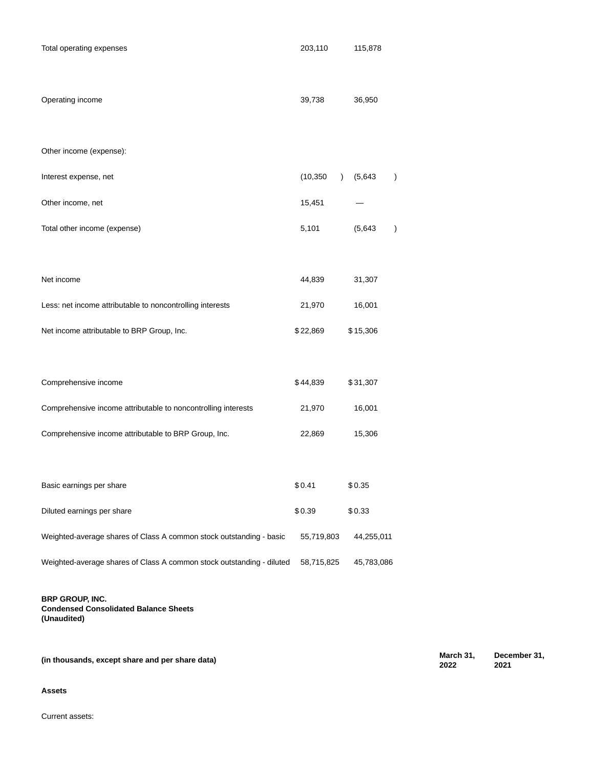| Total operating expenses                                              | 203,110                | 115,878                  |
|-----------------------------------------------------------------------|------------------------|--------------------------|
|                                                                       |                        |                          |
| Operating income                                                      | 39,738                 | 36,950                   |
| Other income (expense):                                               |                        |                          |
| Interest expense, net                                                 | (10, 350)<br>$\lambda$ | (5,643)<br>$\mathcal{C}$ |
| Other income, net                                                     | 15,451                 |                          |
| Total other income (expense)                                          | 5,101                  | (5,643)<br>$\mathcal{E}$ |
|                                                                       |                        |                          |
| Net income                                                            | 44,839                 | 31,307                   |
| Less: net income attributable to noncontrolling interests             | 21,970                 | 16,001                   |
| Net income attributable to BRP Group, Inc.                            | \$22,869               | \$15,306                 |
|                                                                       |                        |                          |
| Comprehensive income                                                  | \$44,839               | \$31,307                 |
| Comprehensive income attributable to noncontrolling interests         | 21,970                 | 16,001                   |
| Comprehensive income attributable to BRP Group, Inc.                  | 22,869                 | 15,306                   |
|                                                                       |                        |                          |
| Basic earnings per share                                              | \$0.41                 | \$0.35                   |
| Diluted earnings per share                                            | \$0.39                 | \$0.33                   |
| Weighted-average shares of Class A common stock outstanding - basic   | 55,719,803             | 44,255,011               |
| Weighted-average shares of Class A common stock outstanding - diluted | 58,715,825             | 45,783,086               |

**2022**

**December 31, 2021**

**BRP GROUP, INC. Condensed Consolidated Balance Sheets (Unaudited)**

**(in thousands, except share and per share data) March 31,**

**Assets**

Current assets: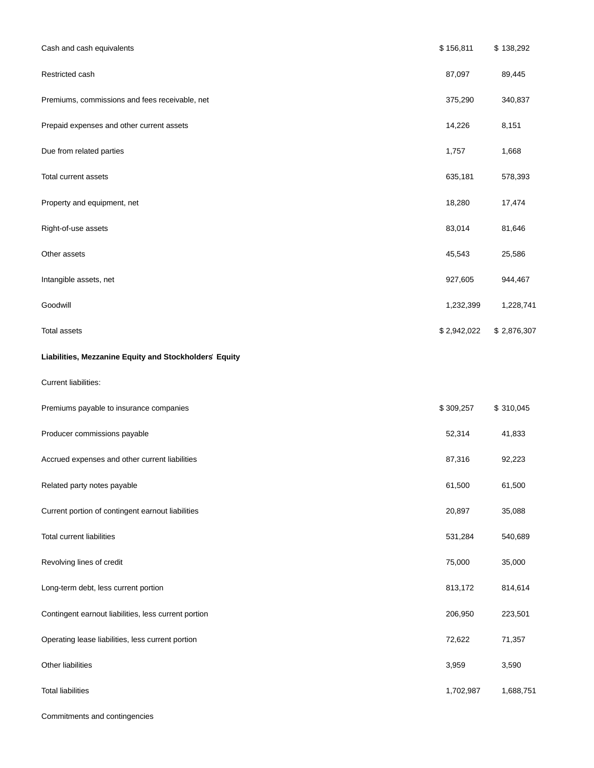| Cash and cash equivalents                              | \$156,811   | \$138,292   |
|--------------------------------------------------------|-------------|-------------|
| Restricted cash                                        | 87,097      | 89,445      |
| Premiums, commissions and fees receivable, net         | 375,290     | 340,837     |
| Prepaid expenses and other current assets              | 14,226      | 8,151       |
| Due from related parties                               | 1,757       | 1,668       |
| Total current assets                                   | 635,181     | 578,393     |
| Property and equipment, net                            | 18,280      | 17,474      |
| Right-of-use assets                                    | 83,014      | 81,646      |
| Other assets                                           | 45,543      | 25,586      |
| Intangible assets, net                                 | 927,605     | 944,467     |
| Goodwill                                               | 1,232,399   | 1,228,741   |
| <b>Total assets</b>                                    | \$2,942,022 | \$2,876,307 |
| Liabilities, Mezzanine Equity and Stockholders' Equity |             |             |
| Current liabilities:                                   |             |             |
| Premiums payable to insurance companies                | \$309,257   | \$310,045   |
| Producer commissions payable                           | 52,314      | 41,833      |
| Accrued expenses and other current liabilities         | 87,316      | 92,223      |
| Related party notes payable                            | 61,500      | 61,500      |
| Current portion of contingent earnout liabilities      | 20,897      | 35,088      |
| <b>Total current liabilities</b>                       | 531,284     | 540,689     |
| Revolving lines of credit                              | 75,000      | 35,000      |
| Long-term debt, less current portion                   | 813,172     | 814,614     |
| Contingent earnout liabilities, less current portion   | 206,950     | 223,501     |
| Operating lease liabilities, less current portion      | 72,622      | 71,357      |
| Other liabilities                                      | 3,959       | 3,590       |
| <b>Total liabilities</b>                               | 1,702,987   | 1,688,751   |

Commitments and contingencies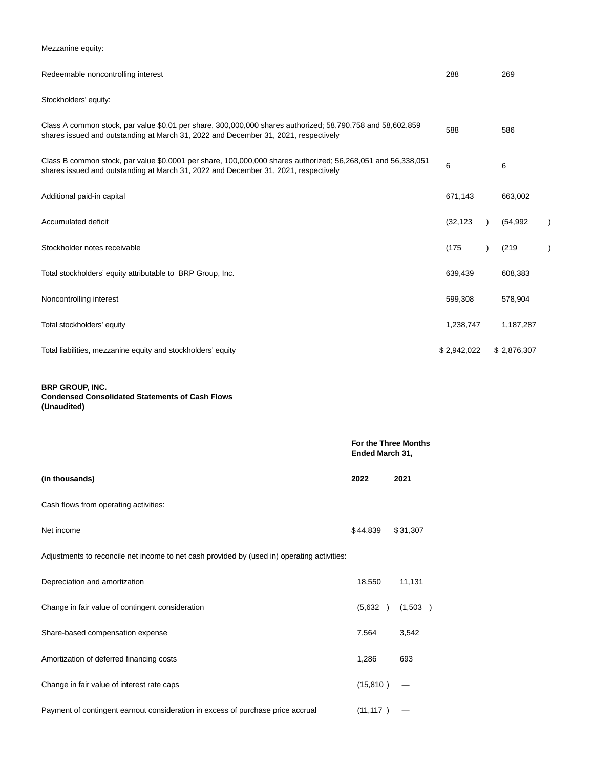| Redeemable noncontrolling interest                                                                                                                                                                  | 288         | 269         |  |
|-----------------------------------------------------------------------------------------------------------------------------------------------------------------------------------------------------|-------------|-------------|--|
| Stockholders' equity:                                                                                                                                                                               |             |             |  |
| Class A common stock, par value \$0.01 per share, 300,000,000 shares authorized; 58,790,758 and 58,602,859<br>shares issued and outstanding at March 31, 2022 and December 31, 2021, respectively   | 588         | 586         |  |
| Class B common stock, par value \$0.0001 per share, 100,000,000 shares authorized; 56,268,051 and 56,338,051<br>shares issued and outstanding at March 31, 2022 and December 31, 2021, respectively | 6           | 6           |  |
| Additional paid-in capital                                                                                                                                                                          | 671,143     | 663,002     |  |
| <b>Accumulated deficit</b>                                                                                                                                                                          | (32, 123)   | (54, 992)   |  |
| Stockholder notes receivable                                                                                                                                                                        | (175)       | (219)       |  |
| Total stockholders' equity attributable to BRP Group, Inc.                                                                                                                                          | 639,439     | 608,383     |  |
| Noncontrolling interest                                                                                                                                                                             | 599.308     | 578.904     |  |
| Total stockholders' equity                                                                                                                                                                          | 1,238,747   | 1,187,287   |  |
| Total liabilities, mezzanine equity and stockholders' equity                                                                                                                                        | \$2,942,022 | \$2,876,307 |  |

## **BRP GROUP, INC.**

Mezzanine equity:

# **Condensed Consolidated Statements of Cash Flows**

**(Unaudited)**

|                                                                                             |           | For the Three Months<br>Ended March 31, |          |  |
|---------------------------------------------------------------------------------------------|-----------|-----------------------------------------|----------|--|
| (in thousands)                                                                              | 2022      |                                         | 2021     |  |
| Cash flows from operating activities:                                                       |           |                                         |          |  |
| Net income                                                                                  | \$44,839  |                                         | \$31,307 |  |
| Adjustments to reconcile net income to net cash provided by (used in) operating activities: |           |                                         |          |  |
| Depreciation and amortization                                                               | 18,550    |                                         | 11,131   |  |
| Change in fair value of contingent consideration                                            | (5,632)   |                                         | (1,503)  |  |
| Share-based compensation expense                                                            | 7,564     |                                         | 3,542    |  |
| Amortization of deferred financing costs                                                    | 1,286     |                                         | 693      |  |
| Change in fair value of interest rate caps                                                  | (15, 810) |                                         |          |  |
| Payment of contingent earnout consideration in excess of purchase price accrual             | (11, 117) |                                         |          |  |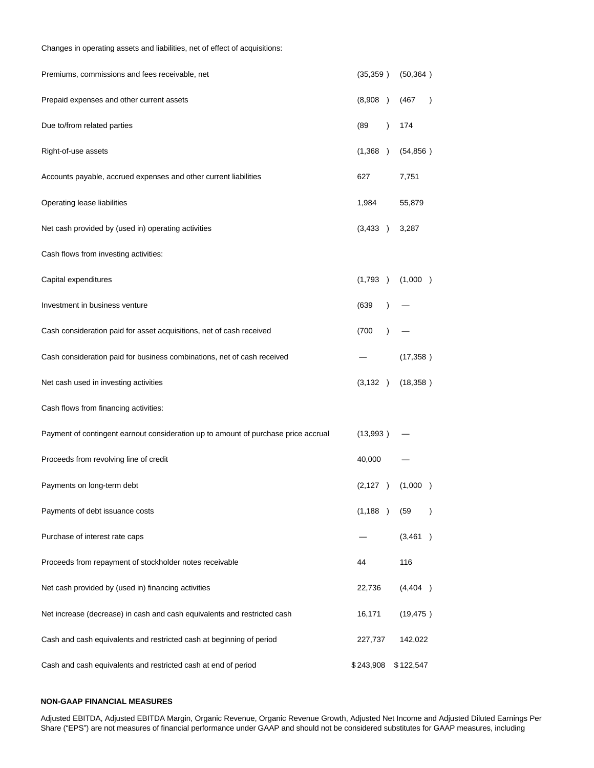Changes in operating assets and liabilities, net of effect of acquisitions:

| Premiums, commissions and fees receivable, net                                     | (35,359)                  | (50, 364)                 |
|------------------------------------------------------------------------------------|---------------------------|---------------------------|
| Prepaid expenses and other current assets                                          | (8,908)                   | (467)<br>$\lambda$        |
| Due to/from related parties                                                        | (89)<br>$\lambda$         | 174                       |
| Right-of-use assets                                                                | (1, 368)<br>$\rightarrow$ | (54, 856)                 |
| Accounts payable, accrued expenses and other current liabilities                   | 627                       | 7,751                     |
| Operating lease liabilities                                                        | 1,984                     | 55,879                    |
| Net cash provided by (used in) operating activities                                | (3, 433)                  | 3,287                     |
| Cash flows from investing activities:                                              |                           |                           |
| Capital expenditures                                                               | (1,793)                   | (1,000)                   |
| Investment in business venture                                                     | (639)                     |                           |
| Cash consideration paid for asset acquisitions, net of cash received               | (700)<br>$\lambda$        |                           |
| Cash consideration paid for business combinations, net of cash received            |                           | (17, 358)                 |
| Net cash used in investing activities                                              | (3, 132)                  | (18,358)                  |
| Cash flows from financing activities:                                              |                           |                           |
| Payment of contingent earnout consideration up to amount of purchase price accrual | (13,993)                  |                           |
| Proceeds from revolving line of credit                                             | 40,000                    |                           |
| Payments on long-term debt                                                         | (2, 127)<br>$\rightarrow$ | (1,000)<br>$\rightarrow$  |
| Payments of debt issuance costs                                                    | (1, 188)                  | (59<br>$\mathcal{E}$      |
| Purchase of interest rate caps                                                     |                           | (3, 461)<br>$\rightarrow$ |
| Proceeds from repayment of stockholder notes receivable                            | 44                        | 116                       |
| Net cash provided by (used in) financing activities                                | 22,736                    | (4, 404)                  |
| Net increase (decrease) in cash and cash equivalents and restricted cash           | 16,171                    | (19, 475)                 |
| Cash and cash equivalents and restricted cash at beginning of period               | 227,737                   | 142,022                   |
| Cash and cash equivalents and restricted cash at end of period                     | \$243,908                 | \$122,547                 |

## **NON-GAAP FINANCIAL MEASURES**

Adjusted EBITDA, Adjusted EBITDA Margin, Organic Revenue, Organic Revenue Growth, Adjusted Net Income and Adjusted Diluted Earnings Per Share ("EPS") are not measures of financial performance under GAAP and should not be considered substitutes for GAAP measures, including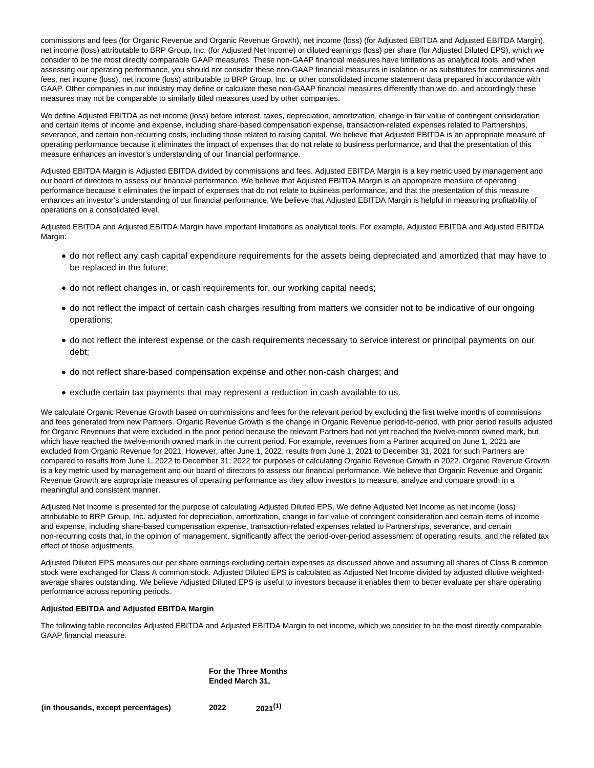commissions and fees (for Organic Revenue and Organic Revenue Growth), net income (loss) (for Adjusted EBITDA and Adjusted EBITDA Margin), net income (loss) attributable to BRP Group, Inc. (for Adjusted Net Income) or diluted earnings (loss) per share (for Adjusted Diluted EPS), which we consider to be the most directly comparable GAAP measures. These non-GAAP financial measures have limitations as analytical tools, and when assessing our operating performance, you should not consider these non-GAAP financial measures in isolation or as substitutes for commissions and fees, net income (loss), net income (loss) attributable to BRP Group, Inc. or other consolidated income statement data prepared in accordance with GAAP. Other companies in our industry may define or calculate these non-GAAP financial measures differently than we do, and accordingly these measures may not be comparable to similarly titled measures used by other companies.

We define Adjusted EBITDA as net income (loss) before interest, taxes, depreciation, amortization, change in fair value of contingent consideration and certain items of income and expense, including share-based compensation expense, transaction-related expenses related to Partnerships, severance, and certain non-recurring costs, including those related to raising capital. We believe that Adjusted EBITDA is an appropriate measure of operating performance because it eliminates the impact of expenses that do not relate to business performance, and that the presentation of this measure enhances an investor's understanding of our financial performance.

Adjusted EBITDA Margin is Adjusted EBITDA divided by commissions and fees. Adjusted EBITDA Margin is a key metric used by management and our board of directors to assess our financial performance. We believe that Adjusted EBITDA Margin is an appropriate measure of operating performance because it eliminates the impact of expenses that do not relate to business performance, and that the presentation of this measure enhances an investor's understanding of our financial performance. We believe that Adjusted EBITDA Margin is helpful in measuring profitability of operations on a consolidated level.

Adjusted EBITDA and Adjusted EBITDA Margin have important limitations as analytical tools. For example, Adjusted EBITDA and Adjusted EBITDA Margin:

- do not reflect any cash capital expenditure requirements for the assets being depreciated and amortized that may have to be replaced in the future;
- do not reflect changes in, or cash requirements for, our working capital needs;
- do not reflect the impact of certain cash charges resulting from matters we consider not to be indicative of our ongoing operations;
- do not reflect the interest expense or the cash requirements necessary to service interest or principal payments on our debt;
- do not reflect share-based compensation expense and other non-cash charges; and
- exclude certain tax payments that may represent a reduction in cash available to us.

We calculate Organic Revenue Growth based on commissions and fees for the relevant period by excluding the first twelve months of commissions and fees generated from new Partners. Organic Revenue Growth is the change in Organic Revenue period-to-period, with prior period results adjusted for Organic Revenues that were excluded in the prior period because the relevant Partners had not yet reached the twelve-month owned mark, but which have reached the twelve-month owned mark in the current period. For example, revenues from a Partner acquired on June 1, 2021 are excluded from Organic Revenue for 2021. However, after June 1, 2022, results from June 1, 2021 to December 31, 2021 for such Partners are compared to results from June 1, 2022 to December 31, 2022 for purposes of calculating Organic Revenue Growth in 2022. Organic Revenue Growth is a key metric used by management and our board of directors to assess our financial performance. We believe that Organic Revenue and Organic Revenue Growth are appropriate measures of operating performance as they allow investors to measure, analyze and compare growth in a meaningful and consistent manner.

Adjusted Net Income is presented for the purpose of calculating Adjusted Diluted EPS. We define Adjusted Net Income as net income (loss) attributable to BRP Group, Inc. adjusted for depreciation, amortization, change in fair value of contingent consideration and certain items of income and expense, including share-based compensation expense, transaction-related expenses related to Partnerships, severance, and certain non-recurring costs that, in the opinion of management, significantly affect the period-over-period assessment of operating results, and the related tax effect of those adjustments.

Adjusted Diluted EPS measures our per share earnings excluding certain expenses as discussed above and assuming all shares of Class B common stock were exchanged for Class A common stock. Adjusted Diluted EPS is calculated as Adjusted Net Income divided by adjusted dilutive weightedaverage shares outstanding. We believe Adjusted Diluted EPS is useful to investors because it enables them to better evaluate per share operating performance across reporting periods.

### **Adjusted EBITDA and Adjusted EBITDA Margin**

The following table reconciles Adjusted EBITDA and Adjusted EBITDA Margin to net income, which we consider to be the most directly comparable GAAP financial measure:

> **For the Three Months Ended March 31,**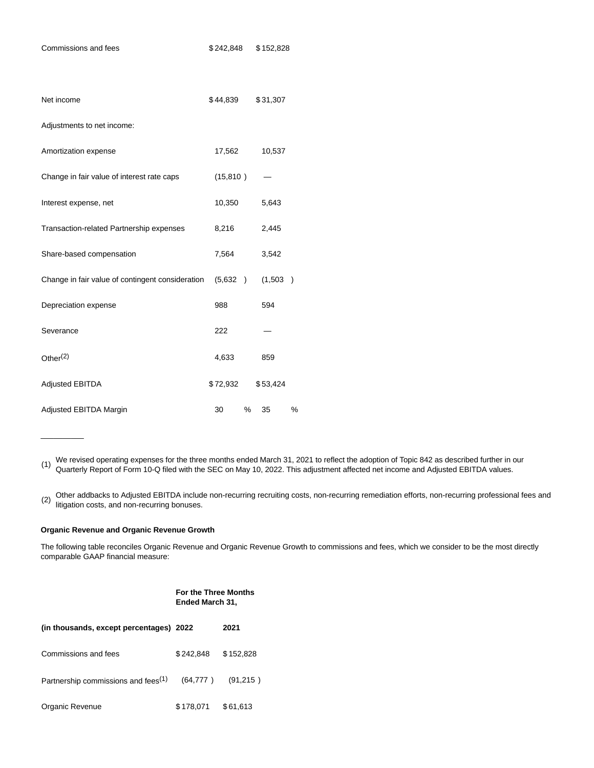| Commissions and fees                             | \$242,848 | \$152,828                |
|--------------------------------------------------|-----------|--------------------------|
| Net income                                       | \$44,839  | \$31,307                 |
| Adjustments to net income:                       |           |                          |
| Amortization expense                             | 17,562    | 10,537                   |
| Change in fair value of interest rate caps       | (15, 810) |                          |
| Interest expense, net                            | 10,350    | 5,643                    |
| Transaction-related Partnership expenses         | 8,216     | 2,445                    |
| Share-based compensation                         | 7,564     | 3,542                    |
| Change in fair value of contingent consideration | (5,632)   | (1,503)<br>$\rightarrow$ |
| Depreciation expense                             | 988       | 594                      |
| Severance                                        | 222       |                          |
| Other $(2)$                                      | 4,633     | 859                      |
| <b>Adjusted EBITDA</b>                           | \$72,932  | \$53,424                 |
| Adjusted EBITDA Margin                           | 30<br>%   | 35<br>%                  |

We revised operating expenses for the three months ended March 31, 2021 to reflect the adoption of Topic 842 as described further in our (1)<br>Quarterly Report of Form 10-Q filed with the SEC on May 10, 2022. This adjustment

(2) Other addbacks to Adjusted EBITDA include non-recurring recruiting costs, non-recurring remediation efforts, non-recurring professional fees and<br>litication costs, and pon-recurring bonuses litigation costs, and non-recurring bonuses.

### **Organic Revenue and Organic Revenue Growth**

\_\_\_\_\_\_\_\_\_\_

The following table reconciles Organic Revenue and Organic Revenue Growth to commissions and fees, which we consider to be the most directly comparable GAAP financial measure:

|                                                 | <b>For the Three Months</b><br>Ended March 31. |           |  |  |
|-------------------------------------------------|------------------------------------------------|-----------|--|--|
| (in thousands, except percentages) 2022         |                                                | 2021      |  |  |
| Commissions and fees                            | \$242.848                                      | \$152.828 |  |  |
| Partnership commissions and fees <sup>(1)</sup> | (64, 777)                                      | (91, 215) |  |  |
| Organic Revenue                                 | \$178.071                                      | \$61,613  |  |  |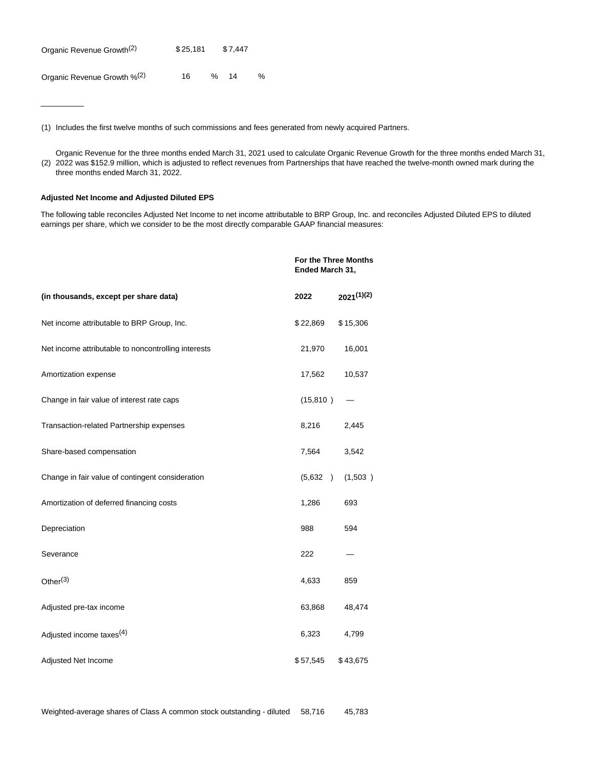| Organic Revenue Growth <sup>(2)</sup>   | \$25.181 |               | \$7.447 |   |
|-----------------------------------------|----------|---------------|---------|---|
| Organic Revenue Growth % <sup>(2)</sup> | 16.      | $\frac{0}{6}$ | 14      | % |

(1) Includes the first twelve months of such commissions and fees generated from newly acquired Partners.

(2) 2022 was \$152.9 million, which is adjusted to reflect revenues from Partnerships that have reached the twelve-month owned mark during the Organic Revenue for the three months ended March 31, 2021 used to calculate Organic Revenue Growth for the three months ended March 31, three months ended March 31, 2022.

### **Adjusted Net Income and Adjusted Diluted EPS**

 $\overline{\phantom{a}}$ 

The following table reconciles Adjusted Net Income to net income attributable to BRP Group, Inc. and reconciles Adjusted Diluted EPS to diluted earnings per share, which we consider to be the most directly comparable GAAP financial measures:

**For the Three Months**

|                                                     | Ended March 31, |                 |
|-----------------------------------------------------|-----------------|-----------------|
| (in thousands, except per share data)               | 2022            | $2021^{(1)(2)}$ |
| Net income attributable to BRP Group, Inc.          | \$22,869        | \$15,306        |
| Net income attributable to noncontrolling interests | 21,970          | 16,001          |
| Amortization expense                                | 17,562          | 10,537          |
| Change in fair value of interest rate caps          | (15, 810)       |                 |
| Transaction-related Partnership expenses            | 8,216           | 2,445           |
| Share-based compensation                            | 7,564           | 3,542           |
| Change in fair value of contingent consideration    | (5,632)         | (1,503)         |
| Amortization of deferred financing costs            | 1,286           | 693             |
| Depreciation                                        | 988             | 594             |
| Severance                                           | 222             |                 |
| Other $(3)$                                         | 4,633           | 859             |
| Adjusted pre-tax income                             | 63,868          | 48,474          |
| Adjusted income taxes <sup>(4)</sup>                | 6,323           | 4,799           |
| Adjusted Net Income                                 | \$57,545        | \$43,675        |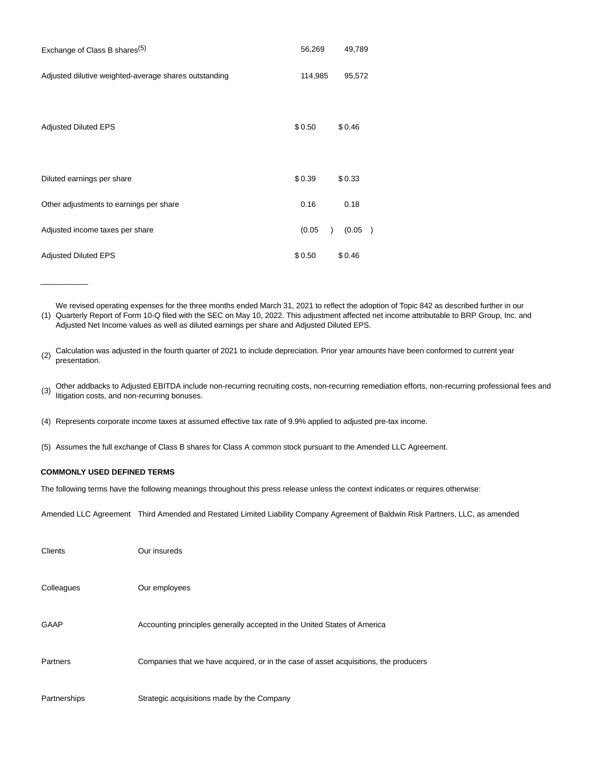| Exchange of Class B shares <sup>(5)</sup>             | 56,269  | 49,789                  |
|-------------------------------------------------------|---------|-------------------------|
| Adjusted dilutive weighted-average shares outstanding | 114,985 | 95,572                  |
| <b>Adjusted Diluted EPS</b>                           | \$0.50  | \$0.46                  |
| Diluted earnings per share                            | \$0.39  | \$0.33                  |
| Other adjustments to earnings per share               | 0.16    | 0.18                    |
| Adjusted income taxes per share                       | (0.05)  | (0.05)<br>$\rightarrow$ |
| <b>Adjusted Diluted EPS</b>                           | \$0.50  | \$0.46                  |

(1) Quarterly Report of Form 10-Q filed with the SEC on May 10, 2022. This adjustment affected net income attributable to BRP Group, Inc. and We revised operating expenses for the three months ended March 31, 2021 to reflect the adoption of Topic 842 as described further in our Adjusted Net Income values as well as diluted earnings per share and Adjusted Diluted EPS.

(2) Calculation was adjusted in the fourth quarter of 2021 to include depreciation. Prior year amounts have been conformed to current year presentation.

(3) Other addbacks to Adjusted EBITDA include non-recurring recruiting costs, non-recurring remediation efforts, non-recurring professional fees and<br>
(3) Fitingtion and a set and any requiring harves are curring recruiting litigation costs, and non-recurring bonuses.

(4) Represents corporate income taxes at assumed effective tax rate of 9.9% applied to adjusted pre-tax income.

(5) Assumes the full exchange of Class B shares for Class A common stock pursuant to the Amended LLC Agreement.

## **COMMONLY USED DEFINED TERMS**

\_\_\_\_\_\_\_\_\_\_\_

The following terms have the following meanings throughout this press release unless the context indicates or requires otherwise:

Amended LLC Agreement Third Amended and Restated Limited Liability Company Agreement of Baldwin Risk Partners, LLC, as amended

| <b>Clients</b> | Our insureds                                                                         |
|----------------|--------------------------------------------------------------------------------------|
| Colleagues     | Our employees                                                                        |
| <b>GAAP</b>    | Accounting principles generally accepted in the United States of America             |
| Partners       | Companies that we have acquired, or in the case of asset acquisitions, the producers |
| Partnerships   | Strategic acquisitions made by the Company                                           |